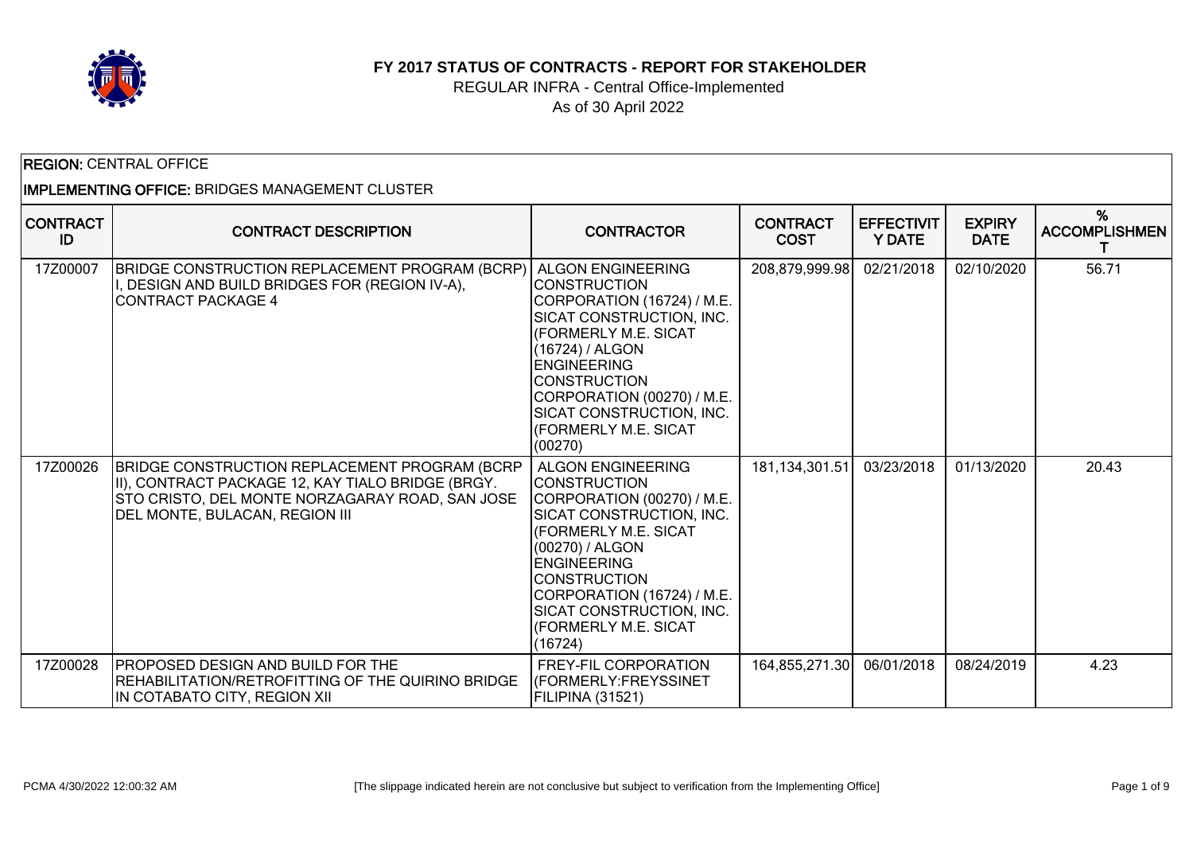

#### **FY 2017 STATUS OF CONTRACTS - REPORT FOR STAKEHOLDER**

#### REGULAR INFRA - Central Office-Implemented As of 30 April 2022

| <b>REGION: CENTRAL OFFICE</b><br><b>IMPLEMENTING OFFICE: BRIDGES MANAGEMENT CLUSTER</b> |                                                                                                                                                                                         |                                                                                                                                                                                                                                                                                                       |                                |                                    |                              |                           |  |
|-----------------------------------------------------------------------------------------|-----------------------------------------------------------------------------------------------------------------------------------------------------------------------------------------|-------------------------------------------------------------------------------------------------------------------------------------------------------------------------------------------------------------------------------------------------------------------------------------------------------|--------------------------------|------------------------------------|------------------------------|---------------------------|--|
| <b>CONTRACT</b><br>ID                                                                   | <b>CONTRACT DESCRIPTION</b>                                                                                                                                                             | <b>CONTRACTOR</b>                                                                                                                                                                                                                                                                                     | <b>CONTRACT</b><br><b>COST</b> | <b>EFFECTIVIT</b><br><b>Y DATE</b> | <b>EXPIRY</b><br><b>DATE</b> | %<br><b>ACCOMPLISHMEN</b> |  |
| 17Z00007                                                                                | BRIDGE CONSTRUCTION REPLACEMENT PROGRAM (BCRP)<br>I, DESIGN AND BUILD BRIDGES FOR (REGION IV-A),<br><b>CONTRACT PACKAGE 4</b>                                                           | <b>ALGON ENGINEERING</b><br>ICONSTRUCTION<br>CORPORATION (16724) / M.E.<br>SICAT CONSTRUCTION, INC.<br>(FORMERLY M.E. SICAT<br>(16724) / ALGON<br><b>ENGINEERING</b><br><b>CONSTRUCTION</b><br>CORPORATION (00270) / M.E.<br>SICAT CONSTRUCTION, INC.<br><b>(FORMERLY M.E. SICAT</b><br>(00270)       | 208,879,999.98                 | 02/21/2018                         | 02/10/2020                   | 56.71                     |  |
| 17Z00026                                                                                | BRIDGE CONSTRUCTION REPLACEMENT PROGRAM (BCRP<br>II), CONTRACT PACKAGE 12, KAY TIALO BRIDGE (BRGY.<br>STO CRISTO, DEL MONTE NORZAGARAY ROAD, SAN JOSE<br>DEL MONTE, BULACAN, REGION III | <b>ALGON ENGINEERING</b><br><b>CONSTRUCTION</b><br>CORPORATION (00270) / M.E.<br>SICAT CONSTRUCTION, INC.<br><b>(FORMERLY M.E. SICAT</b><br>(00270) / ALGON<br><b>ENGINEERING</b><br><b>CONSTRUCTION</b><br>CORPORATION (16724) / M.E.<br>SICAT CONSTRUCTION, INC.<br>(FORMERLY M.E. SICAT<br>(16724) | 181,134,301.51                 | 03/23/2018                         | 01/13/2020                   | 20.43                     |  |
| 17Z00028                                                                                | <b>PROPOSED DESIGN AND BUILD FOR THE</b><br>REHABILITATION/RETROFITTING OF THE QUIRINO BRIDGE<br>IN COTABATO CITY, REGION XII                                                           | FREY-FIL CORPORATION<br>(FORMERLY:FREYSSINET<br>FILIPINA (31521)                                                                                                                                                                                                                                      | 164,855,271.30                 | 06/01/2018                         | 08/24/2019                   | 4.23                      |  |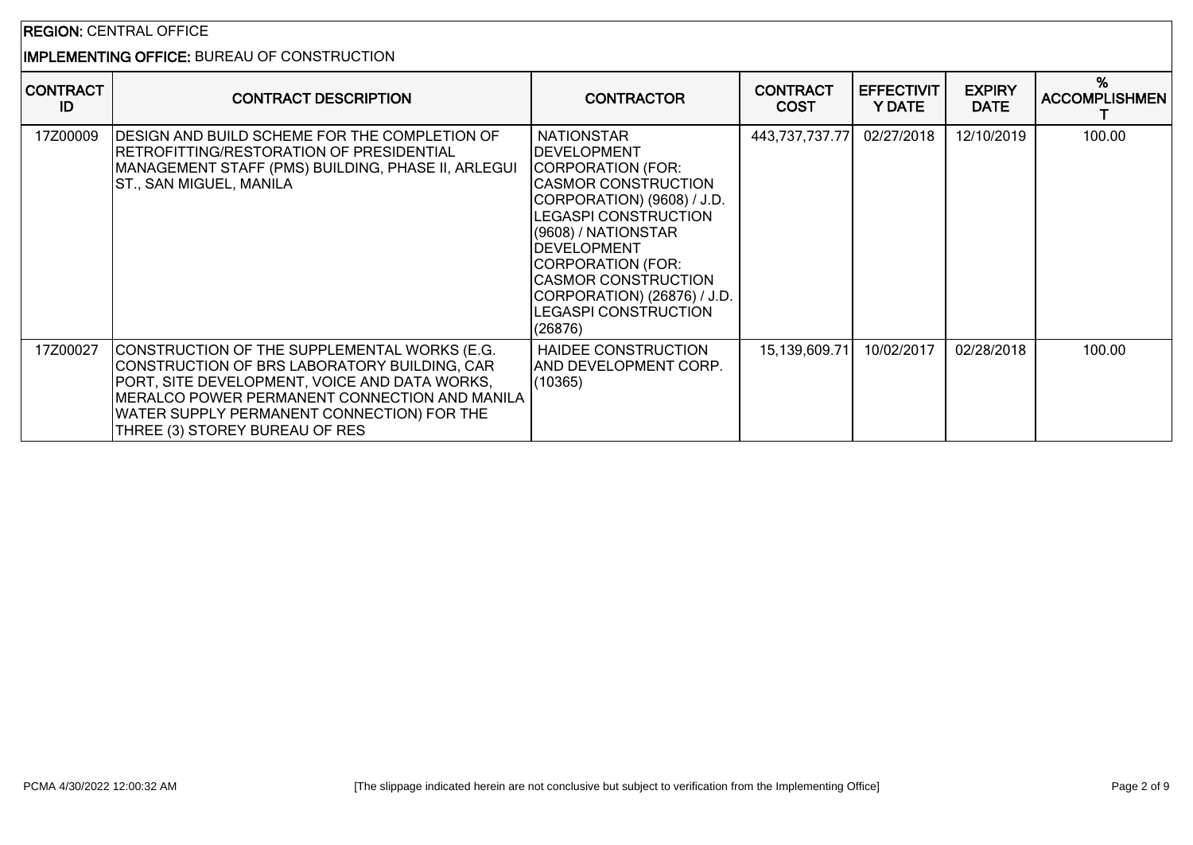### REGION: CENTRAL OFFICE

## IMPLEMENTING OFFICE: BUREAU OF CONSTRUCTION

| <b>CONTRACT</b><br>ID | <b>CONTRACT DESCRIPTION</b>                                                                                                                                                                                                                                                    | <b>CONTRACTOR</b>                                                                                                                                                                                                                                                                                                          | <b>CONTRACT</b><br><b>COST</b> | <b>EFFECTIVIT</b><br><b>Y DATE</b> | <b>EXPIRY</b><br><b>DATE</b> | %<br><b>ACCOMPLISHMEN</b> |
|-----------------------|--------------------------------------------------------------------------------------------------------------------------------------------------------------------------------------------------------------------------------------------------------------------------------|----------------------------------------------------------------------------------------------------------------------------------------------------------------------------------------------------------------------------------------------------------------------------------------------------------------------------|--------------------------------|------------------------------------|------------------------------|---------------------------|
| 17Z00009              | DESIGN AND BUILD SCHEME FOR THE COMPLETION OF<br> RETROFITTING/RESTORATION OF PRESIDENTIAL<br>MANAGEMENT STAFF (PMS) BUILDING, PHASE II, ARLEGUI<br>ST., SAN MIGUEL, MANILA                                                                                                    | <b>NATIONSTAR</b><br><b>DEVELOPMENT</b><br>CORPORATION (FOR:<br>CASMOR CONSTRUCTION<br>CORPORATION) (9608) / J.D.<br><b>LEGASPI CONSTRUCTION</b><br>(9608) / NATIONSTAR<br><b>IDEVELOPMENT</b><br>CORPORATION (FOR:<br><b>CASMOR CONSTRUCTION</b><br>CORPORATION) (26876) / J.D.<br><b>LEGASPI CONSTRUCTION</b><br>(26876) | 443,737,737.77                 | 02/27/2018                         | 12/10/2019                   | 100.00                    |
| 17Z00027              | CONSTRUCTION OF THE SUPPLEMENTAL WORKS (E.G.<br>CONSTRUCTION OF BRS LABORATORY BUILDING, CAR<br>PORT, SITE DEVELOPMENT, VOICE AND DATA WORKS,<br>MERALCO POWER PERMANENT CONNECTION AND MANILA<br>WATER SUPPLY PERMANENT CONNECTION) FOR THE<br>THREE (3) STOREY BUREAU OF RES | HAIDEE CONSTRUCTION<br>AND DEVELOPMENT CORP.<br>(10365)                                                                                                                                                                                                                                                                    | 15,139,609.71                  | 10/02/2017                         | 02/28/2018                   | 100.00                    |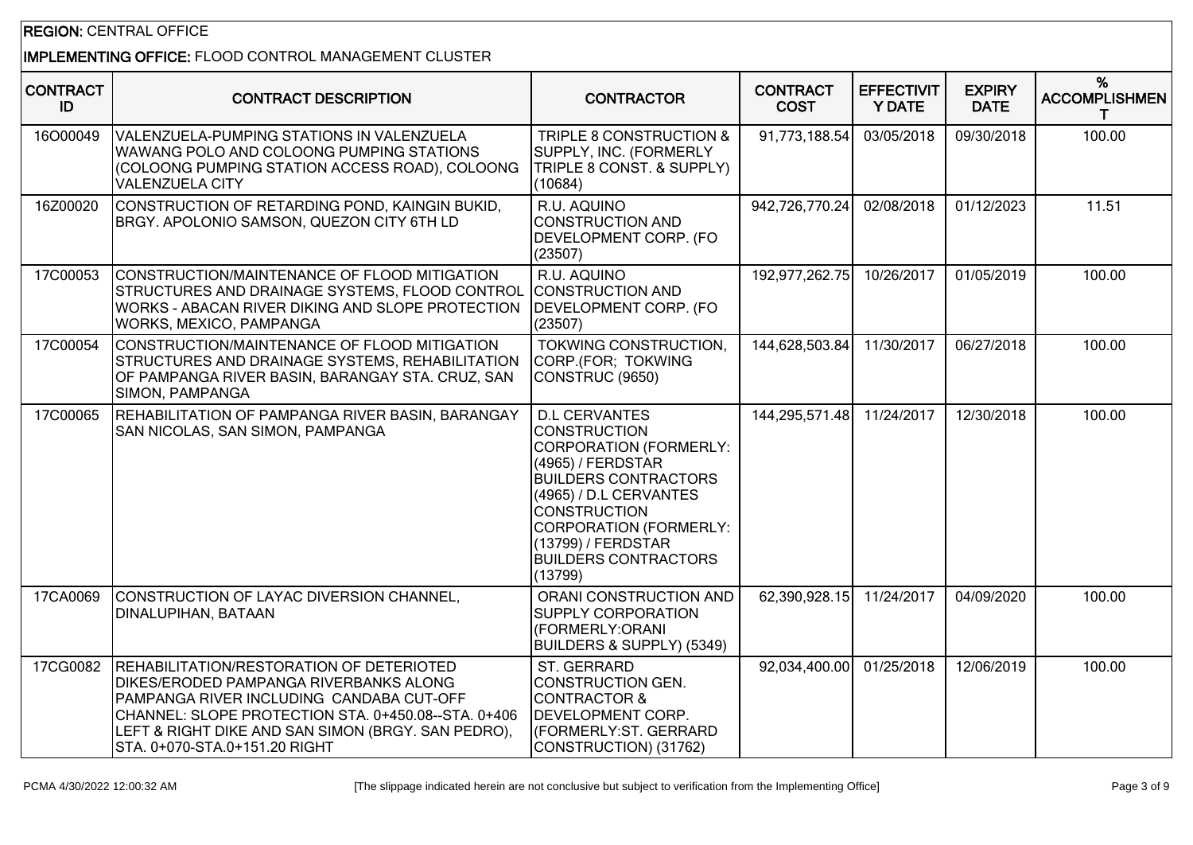## REGION: CENTRAL OFFICE

### IMPLEMENTING OFFICE: FLOOD CONTROL MANAGEMENT CLUSTER

| <b>CONTRACT</b><br>ID | <b>CONTRACT DESCRIPTION</b>                                                                                                                                                                                                                                                  | <b>CONTRACTOR</b>                                                                                                                                                                                                                                                           | <b>CONTRACT</b><br><b>COST</b> | <b>EFFECTIVIT</b><br><b>Y DATE</b> | <b>EXPIRY</b><br><b>DATE</b> | %<br><b>ACCOMPLISHMEN</b><br>т |
|-----------------------|------------------------------------------------------------------------------------------------------------------------------------------------------------------------------------------------------------------------------------------------------------------------------|-----------------------------------------------------------------------------------------------------------------------------------------------------------------------------------------------------------------------------------------------------------------------------|--------------------------------|------------------------------------|------------------------------|--------------------------------|
| 16O00049              | VALENZUELA-PUMPING STATIONS IN VALENZUELA<br>WAWANG POLO AND COLOONG PUMPING STATIONS<br>(COLOONG PUMPING STATION ACCESS ROAD), COLOONG<br>VALENZUELA CITY                                                                                                                   | TRIPLE 8 CONSTRUCTION &<br>SUPPLY, INC. (FORMERLY<br>TRIPLE 8 CONST. & SUPPLY)<br>(10684)                                                                                                                                                                                   | 91,773,188.54                  | 03/05/2018                         | 09/30/2018                   | 100.00                         |
| 16Z00020              | CONSTRUCTION OF RETARDING POND, KAINGIN BUKID,<br>BRGY. APOLONIO SAMSON, QUEZON CITY 6TH LD                                                                                                                                                                                  | R.U. AQUINO<br><b>CONSTRUCTION AND</b><br>DEVELOPMENT CORP. (FO<br>(23507)                                                                                                                                                                                                  | 942,726,770.24                 | 02/08/2018                         | 01/12/2023                   | 11.51                          |
| 17C00053              | CONSTRUCTION/MAINTENANCE OF FLOOD MITIGATION<br>STRUCTURES AND DRAINAGE SYSTEMS, FLOOD CONTROL<br>WORKS - ABACAN RIVER DIKING AND SLOPE PROTECTION<br>WORKS, MEXICO, PAMPANGA                                                                                                | R.U. AQUINO<br><b>CONSTRUCTION AND</b><br>DEVELOPMENT CORP. (FO<br>(23507)                                                                                                                                                                                                  | 192,977,262.75                 | 10/26/2017                         | 01/05/2019                   | 100.00                         |
| 17C00054              | CONSTRUCTION/MAINTENANCE OF FLOOD MITIGATION<br>STRUCTURES AND DRAINAGE SYSTEMS, REHABILITATION<br>OF PAMPANGA RIVER BASIN, BARANGAY STA. CRUZ, SAN<br>SIMON, PAMPANGA                                                                                                       | TOKWING CONSTRUCTION,<br>CORP.(FOR; TOKWING<br>CONSTRUC (9650)                                                                                                                                                                                                              | 144,628,503.84                 | 11/30/2017                         | 06/27/2018                   | 100.00                         |
| 17C00065              | REHABILITATION OF PAMPANGA RIVER BASIN, BARANGAY<br>SAN NICOLAS, SAN SIMON, PAMPANGA                                                                                                                                                                                         | <b>D.L CERVANTES</b><br><b>CONSTRUCTION</b><br><b>CORPORATION (FORMERLY:</b><br>(4965) / FERDSTAR<br><b>BUILDERS CONTRACTORS</b><br>(4965) / D.L CERVANTES<br><b>CONSTRUCTION</b><br>CORPORATION (FORMERLY:<br>(13799) / FERDSTAR<br><b>BUILDERS CONTRACTORS</b><br>(13799) | 144,295,571.48                 | 11/24/2017                         | 12/30/2018                   | 100.00                         |
| 17CA0069              | CONSTRUCTION OF LAYAC DIVERSION CHANNEL,<br>DINALUPIHAN, BATAAN                                                                                                                                                                                                              | <b>ORANI CONSTRUCTION AND</b><br>SUPPLY CORPORATION<br>(FORMERLY:ORANI<br>BUILDERS & SUPPLY) (5349)                                                                                                                                                                         | 62,390,928.15                  | 11/24/2017                         | 04/09/2020                   | 100.00                         |
| 17CG0082              | REHABILITATION/RESTORATION OF DETERIOTED<br>DIKES/ERODED PAMPANGA RIVERBANKS ALONG<br>PAMPANGA RIVER INCLUDING CANDABA CUT-OFF<br>CHANNEL: SLOPE PROTECTION STA. 0+450.08--STA. 0+406<br>LEFT & RIGHT DIKE AND SAN SIMON (BRGY. SAN PEDRO),<br>STA. 0+070-STA.0+151.20 RIGHT | ST. GERRARD<br>CONSTRUCTION GEN.<br><b>CONTRACTOR &amp;</b><br><b>DEVELOPMENT CORP.</b><br>(FORMERLY:ST. GERRARD<br>CONSTRUCTION) (31762)                                                                                                                                   | 92,034,400.00                  | 01/25/2018                         | 12/06/2019                   | 100.00                         |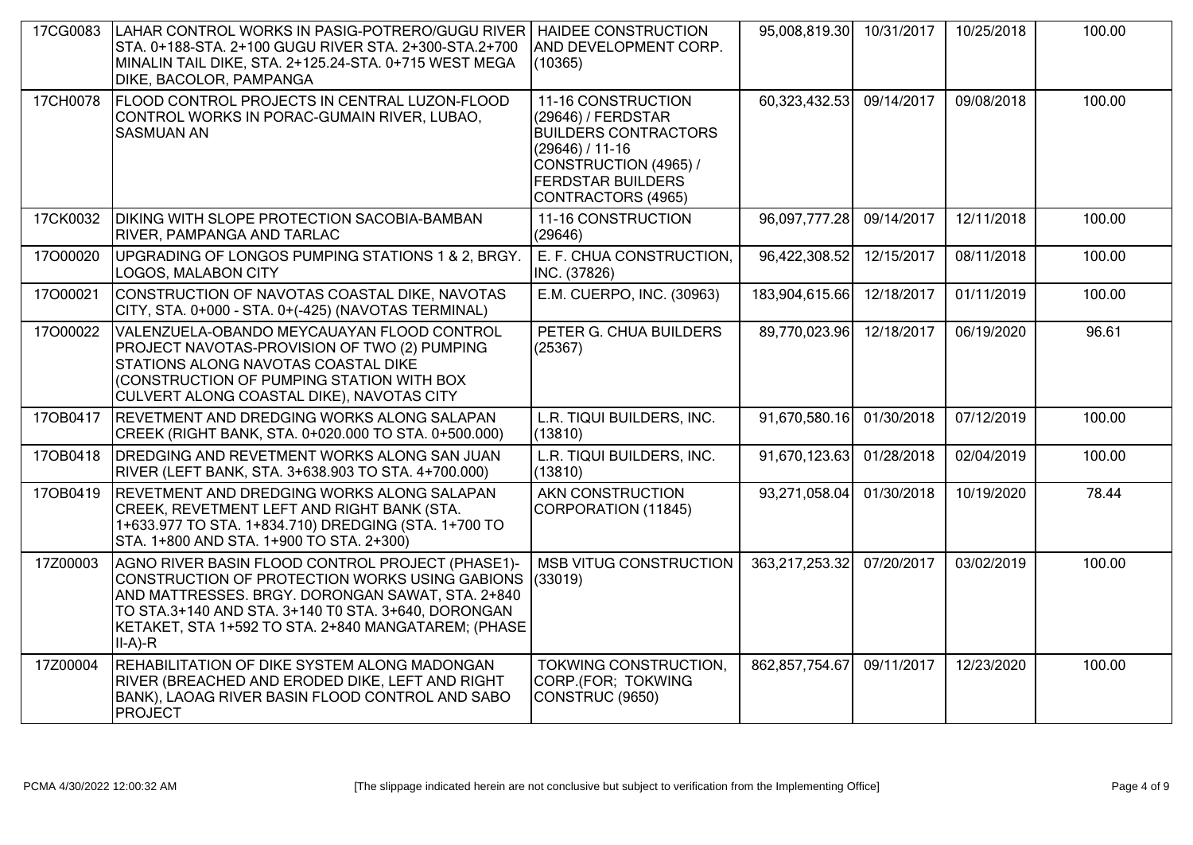| 17CG0083 | LAHAR CONTROL WORKS IN PASIG-POTRERO/GUGU RIVER<br>STA. 0+188-STA. 2+100 GUGU RIVER STA. 2+300-STA.2+700<br>MINALIN TAIL DIKE, STA. 2+125.24-STA. 0+715 WEST MEGA<br>DIKE, BACOLOR, PAMPANGA                                                                                            | <b>HAIDEE CONSTRUCTION</b><br>AND DEVELOPMENT CORP.<br>(10365)                                                                                                          | 95,008,819.30  | 10/31/2017 | 10/25/2018 | 100.00 |
|----------|-----------------------------------------------------------------------------------------------------------------------------------------------------------------------------------------------------------------------------------------------------------------------------------------|-------------------------------------------------------------------------------------------------------------------------------------------------------------------------|----------------|------------|------------|--------|
| 17CH0078 | <b>FLOOD CONTROL PROJECTS IN CENTRAL LUZON-FLOOD</b><br>CONTROL WORKS IN PORAC-GUMAIN RIVER, LUBAO,<br><b>SASMUAN AN</b>                                                                                                                                                                | 11-16 CONSTRUCTION<br>(29646) / FERDSTAR<br><b>BUILDERS CONTRACTORS</b><br>$(29646) / 11-16$<br>CONSTRUCTION (4965) /<br><b>FERDSTAR BUILDERS</b><br>CONTRACTORS (4965) | 60,323,432.53  | 09/14/2017 | 09/08/2018 | 100.00 |
| 17CK0032 | <b>DIKING WITH SLOPE PROTECTION SACOBIA-BAMBAN</b><br><b>RIVER, PAMPANGA AND TARLAC</b>                                                                                                                                                                                                 | 11-16 CONSTRUCTION<br>(29646)                                                                                                                                           | 96,097,777.28  | 09/14/2017 | 12/11/2018 | 100.00 |
| 17000020 | UPGRADING OF LONGOS PUMPING STATIONS 1 & 2, BRGY.<br><b>LOGOS, MALABON CITY</b>                                                                                                                                                                                                         | E. F. CHUA CONSTRUCTION,<br>INC. (37826)                                                                                                                                | 96,422,308.52  | 12/15/2017 | 08/11/2018 | 100.00 |
| 17000021 | CONSTRUCTION OF NAVOTAS COASTAL DIKE, NAVOTAS<br>CITY, STA. 0+000 - STA. 0+(-425) (NAVOTAS TERMINAL)                                                                                                                                                                                    | E.M. CUERPO, INC. (30963)                                                                                                                                               | 183,904,615.66 | 12/18/2017 | 01/11/2019 | 100.00 |
| 17000022 | VALENZUELA-OBANDO MEYCAUAYAN FLOOD CONTROL<br>PROJECT NAVOTAS-PROVISION OF TWO (2) PUMPING<br><b>STATIONS ALONG NAVOTAS COASTAL DIKE</b><br>(CONSTRUCTION OF PUMPING STATION WITH BOX<br>CULVERT ALONG COASTAL DIKE), NAVOTAS CITY                                                      | PETER G. CHUA BUILDERS<br>(25367)                                                                                                                                       | 89,770,023.96  | 12/18/2017 | 06/19/2020 | 96.61  |
| 170B0417 | <b>REVETMENT AND DREDGING WORKS ALONG SALAPAN</b><br>CREEK (RIGHT BANK, STA. 0+020.000 TO STA. 0+500.000)                                                                                                                                                                               | L.R. TIQUI BUILDERS, INC.<br>(13810)                                                                                                                                    | 91,670,580.16  | 01/30/2018 | 07/12/2019 | 100.00 |
| 170B0418 | <b>DREDGING AND REVETMENT WORKS ALONG SAN JUAN</b><br>RIVER (LEFT BANK, STA. 3+638.903 TO STA. 4+700.000)                                                                                                                                                                               | L.R. TIQUI BUILDERS, INC.<br>(13810)                                                                                                                                    | 91,670,123.63  | 01/28/2018 | 02/04/2019 | 100.00 |
| 17OB0419 | <b>REVETMENT AND DREDGING WORKS ALONG SALAPAN</b><br>CREEK, REVETMENT LEFT AND RIGHT BANK (STA.<br>1+633.977 TO STA. 1+834.710) DREDGING (STA. 1+700 TO<br>STA. 1+800 AND STA. 1+900 TO STA. 2+300)                                                                                     | AKN CONSTRUCTION<br>CORPORATION (11845)                                                                                                                                 | 93,271,058.04  | 01/30/2018 | 10/19/2020 | 78.44  |
| 17Z00003 | AGNO RIVER BASIN FLOOD CONTROL PROJECT (PHASE1)-<br>CONSTRUCTION OF PROTECTION WORKS USING GABIONS (33019)<br>AND MATTRESSES. BRGY. DORONGAN SAWAT, STA. 2+840<br>TO STA.3+140 AND STA. 3+140 T0 STA. 3+640, DORONGAN<br>KETAKET, STA 1+592 TO STA. 2+840 MANGATAREM; (PHASE<br>II-A)-R | <b>MSB VITUG CONSTRUCTION</b>                                                                                                                                           | 363,217,253.32 | 07/20/2017 | 03/02/2019 | 100.00 |
| 17Z00004 | REHABILITATION OF DIKE SYSTEM ALONG MADONGAN<br>RIVER (BREACHED AND ERODED DIKE, LEFT AND RIGHT<br>BANK), LAOAG RIVER BASIN FLOOD CONTROL AND SABO<br>PROJECT                                                                                                                           | TOKWING CONSTRUCTION.<br>CORP.(FOR; TOKWING<br>CONSTRUC (9650)                                                                                                          | 862,857,754.67 | 09/11/2017 | 12/23/2020 | 100.00 |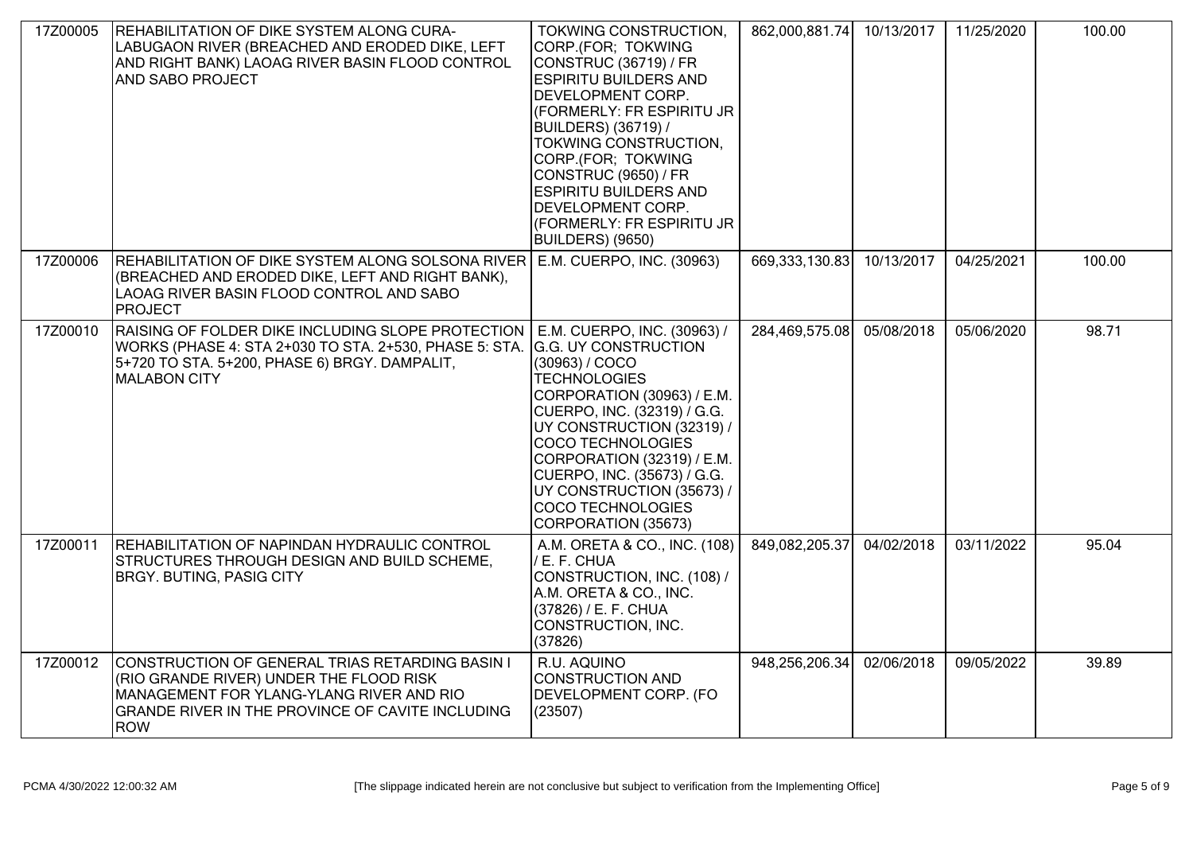| 17Z00005 | REHABILITATION OF DIKE SYSTEM ALONG CURA-<br>LABUGAON RIVER (BREACHED AND ERODED DIKE, LEFT<br>AND RIGHT BANK) LAOAG RIVER BASIN FLOOD CONTROL<br><b>AND SABO PROJECT</b>                                | TOKWING CONSTRUCTION,<br>CORP.(FOR; TOKWING<br>CONSTRUC (36719) / FR<br><b>ESPIRITU BUILDERS AND</b><br><b>DEVELOPMENT CORP.</b><br>(FORMERLY: FR ESPIRITU JR<br>BUILDERS) (36719) /<br>TOKWING CONSTRUCTION,<br>CORP.(FOR; TOKWING<br>CONSTRUC (9650) / FR<br><b>ESPIRITU BUILDERS AND</b><br><b>DEVELOPMENT CORP.</b><br>(FORMERLY: FR ESPIRITU JR<br>BUILDERS) (9650) | 862,000,881.74 | 10/13/2017 | 11/25/2020 | 100.00 |
|----------|----------------------------------------------------------------------------------------------------------------------------------------------------------------------------------------------------------|--------------------------------------------------------------------------------------------------------------------------------------------------------------------------------------------------------------------------------------------------------------------------------------------------------------------------------------------------------------------------|----------------|------------|------------|--------|
| 17Z00006 | REHABILITATION OF DIKE SYSTEM ALONG SOLSONA RIVER E.M. CUERPO, INC. (30963)<br>(BREACHED AND ERODED DIKE, LEFT AND RIGHT BANK),<br>LAOAG RIVER BASIN FLOOD CONTROL AND SABO<br>PROJECT                   |                                                                                                                                                                                                                                                                                                                                                                          | 669,333,130.83 | 10/13/2017 | 04/25/2021 | 100.00 |
| 17Z00010 | RAISING OF FOLDER DIKE INCLUDING SLOPE PROTECTION<br>WORKS (PHASE 4: STA 2+030 TO STA. 2+530, PHASE 5: STA. G.G. UY CONSTRUCTION<br>5+720 TO STA. 5+200, PHASE 6) BRGY. DAMPALIT,<br><b>MALABON CITY</b> | E.M. CUERPO, INC. (30963) /<br>(30963) / COCO<br><b>TECHNOLOGIES</b><br>CORPORATION (30963) / E.M.<br>CUERPO, INC. (32319) / G.G.<br>UY CONSTRUCTION (32319) /<br>COCO TECHNOLOGIES<br>CORPORATION (32319) / E.M.<br>CUERPO, INC. (35673) / G.G.<br>UY CONSTRUCTION (35673) /<br>COCO TECHNOLOGIÈS<br>CORPORATION (35673)                                                | 284,469,575.08 | 05/08/2018 | 05/06/2020 | 98.71  |
| 17Z00011 | REHABILITATION OF NAPINDAN HYDRAULIC CONTROL<br>STRUCTURES THROUGH DESIGN AND BUILD SCHEME,<br><b>BRGY. BUTING, PASIG CITY</b>                                                                           | A.M. ORETA & CO., INC. (108)<br>/ E. F. CHUA<br>CONSTRUCTION, INC. (108) /<br>A.M. ORETA & CO., INC.<br>(37826) / E. F. CHUA<br>CONSTRUCTION, INC.<br>(37826)                                                                                                                                                                                                            | 849,082,205.37 | 04/02/2018 | 03/11/2022 | 95.04  |
| 17Z00012 | CONSTRUCTION OF GENERAL TRIAS RETARDING BASIN I<br>(RIO GRANDE RIVER) UNDER THE FLOOD RISK<br>MANAGEMENT FOR YLANG-YLANG RIVER AND RIO<br>GRANDE RIVER IN THE PROVINCE OF CAVITE INCLUDING<br><b>ROW</b> | R.U. AQUINO<br>CONSTRUCTION AND<br>DEVELOPMENT CORP. (FO<br>(23507)                                                                                                                                                                                                                                                                                                      | 948,256,206.34 | 02/06/2018 | 09/05/2022 | 39.89  |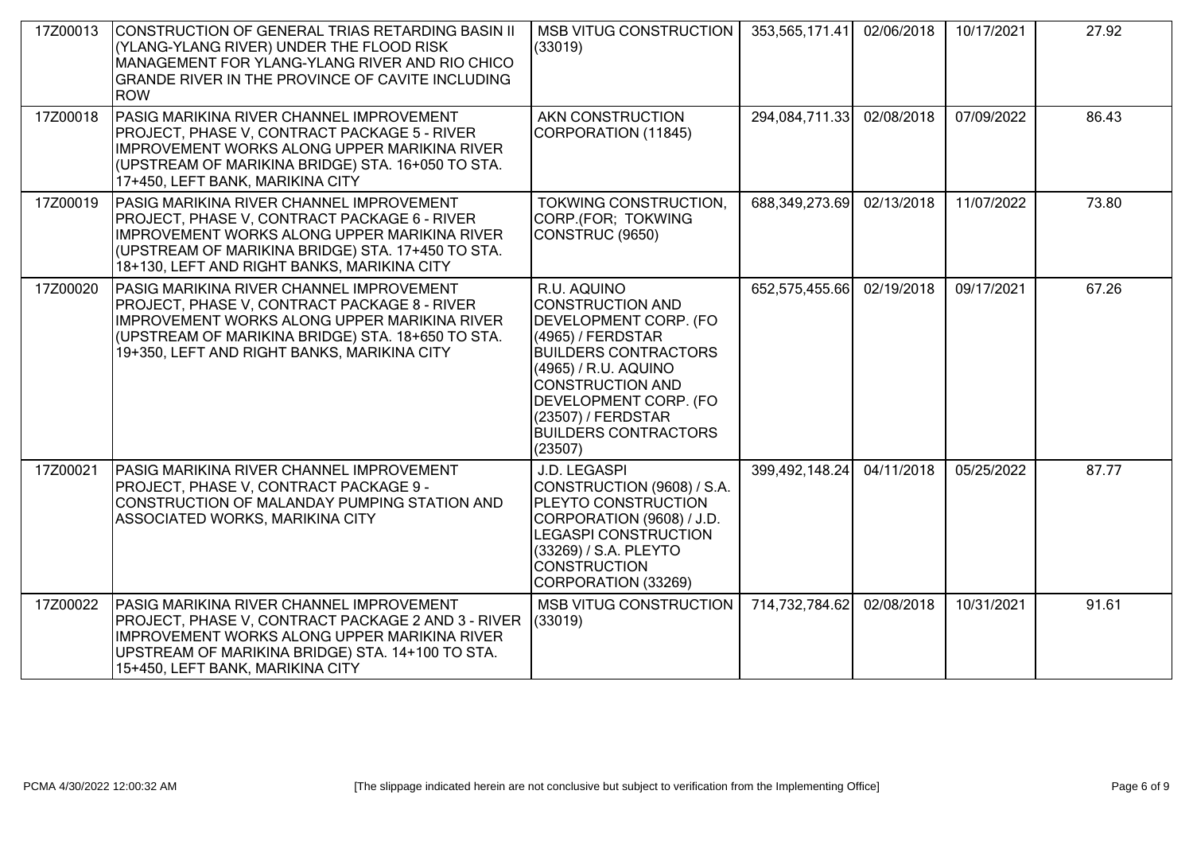| 17Z00013 | CONSTRUCTION OF GENERAL TRIAS RETARDING BASIN II<br>(YLANG-YLANG RIVER) UNDER THE FLOOD RISK<br>MANAGEMENT FOR YLANG-YLANG RIVER AND RIO CHICO<br>GRANDE RIVER IN THE PROVINCE OF CAVITE INCLUDING<br><b>ROW</b>                             | MSB VITUG CONSTRUCTION<br>(33019)                                                                                                                                                                                                                               | 353,565,171.41 | 02/06/2018 | 10/17/2021 | 27.92 |
|----------|----------------------------------------------------------------------------------------------------------------------------------------------------------------------------------------------------------------------------------------------|-----------------------------------------------------------------------------------------------------------------------------------------------------------------------------------------------------------------------------------------------------------------|----------------|------------|------------|-------|
| 17Z00018 | PASIG MARIKINA RIVER CHANNEL IMPROVEMENT<br>PROJECT, PHASE V, CONTRACT PACKAGE 5 - RIVER<br>IMPROVEMENT WORKS ALONG UPPER MARIKINA RIVER<br>(UPSTREAM OF MARIKINA BRIDGE) STA. 16+050 TO STA.<br>17+450, LEFT BANK, MARIKINA CITY            | AKN CONSTRUCTION<br>CORPORATION (11845)                                                                                                                                                                                                                         | 294,084,711.33 | 02/08/2018 | 07/09/2022 | 86.43 |
| 17Z00019 | PASIG MARIKINA RIVER CHANNEL IMPROVEMENT<br>PROJECT, PHASE V, CONTRACT PACKAGE 6 - RIVER<br>IMPROVEMENT WORKS ALONG UPPER MARIKINA RIVER<br>(UPSTREAM OF MARIKINA BRIDGE) STA. 17+450 TO STA.<br>18+130, LEFT AND RIGHT BANKS, MARIKINA CITY | TOKWING CONSTRUCTION,<br>CORP.(FOR; TOKWING<br>CONSTRUC (9650)                                                                                                                                                                                                  | 688,349,273.69 | 02/13/2018 | 11/07/2022 | 73.80 |
| 17Z00020 | PASIG MARIKINA RIVER CHANNEL IMPROVEMENT<br>PROJECT, PHASE V, CONTRACT PACKAGE 8 - RIVER<br>IMPROVEMENT WORKS ALONG UPPER MARIKINA RIVER<br>(UPSTREAM OF MARIKINA BRIDGE) STA. 18+650 TO STA.<br>19+350, LEFT AND RIGHT BANKS, MARIKINA CITY | R.U. AQUINO<br><b>CONSTRUCTION AND</b><br>DEVELOPMENT CORP. (FO<br>(4965) / FERDSTAR<br><b>BUILDERS CONTRACTORS</b><br>(4965) / R.U. AQUINO<br><b>CONSTRUCTION AND</b><br>DEVELOPMENT CORP. (FO<br>(23507) / FERDSTAR<br><b>BUILDERS CONTRACTORS</b><br>(23507) | 652,575,455.66 | 02/19/2018 | 09/17/2021 | 67.26 |
| 17Z00021 | PASIG MARIKINA RIVER CHANNEL IMPROVEMENT<br>PROJECT, PHASE V, CONTRACT PACKAGE 9 -<br>CONSTRUCTION OF MALANDAY PUMPING STATION AND<br>ASSOCIATED WORKS, MARIKINA CITY                                                                        | J.D. LEGASPI<br>CONSTRUCTION (9608) / S.A.<br><b>PLEYTO CONSTRUCTION</b><br>CORPORATION (9608) / J.D.<br>LEGASPI CONSTRUCTION<br>(33269) / S.A. PLEYTO<br><b>CONSTRUCTION</b><br>CORPORATION (33269)                                                            | 399,492,148.24 | 04/11/2018 | 05/25/2022 | 87.77 |
| 17Z00022 | PASIG MARIKINA RIVER CHANNEL IMPROVEMENT<br>PROJECT, PHASE V, CONTRACT PACKAGE 2 AND 3 - RIVER<br>IMPROVEMENT WORKS ALONG UPPER MARIKINA RIVER<br>UPSTREAM OF MARIKINA BRIDGE) STA. 14+100 TO STA.<br>15+450, LEFT BANK, MARIKINA CITY       | <b>MSB VITUG CONSTRUCTION</b><br>(33019)                                                                                                                                                                                                                        | 714,732,784.62 | 02/08/2018 | 10/31/2021 | 91.61 |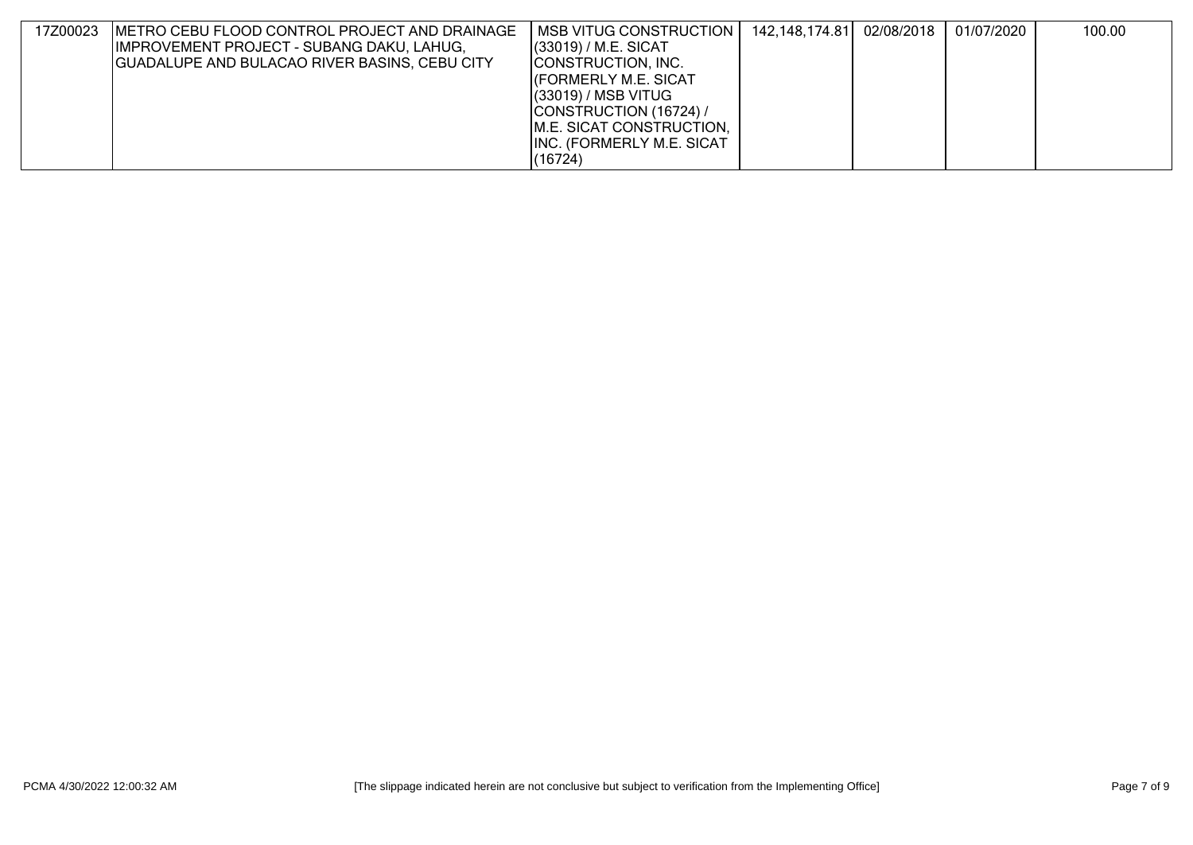| 17Z00023 | IMETRO CEBU FLOOD CONTROL PROJECT AND DRAINAGE | I MSB VITUG CONSTRUCTION I       | 142,148,174.81  02/08/2018 | 01/07/2020 | 100.00 |
|----------|------------------------------------------------|----------------------------------|----------------------------|------------|--------|
|          | IMPROVEMENT PROJECT - SUBANG DAKU, LAHUG,      | $(33019)$ / M.E. SICAT           |                            |            |        |
|          | GUADALUPE AND BULACAO RIVER BASINS, CEBU CITY  | CONSTRUCTION, INC.               |                            |            |        |
|          |                                                | <b>CORMERLY M.E. SICAT</b>       |                            |            |        |
|          |                                                | $(33019)$ / MSB VITUG            |                            |            |        |
|          |                                                | CONSTRUCTION (16724) /           |                            |            |        |
|          |                                                | M.E. SICAT CONSTRUCTION,         |                            |            |        |
|          |                                                | <b>INC. (FORMERLY M.E. SICAT</b> |                            |            |        |
|          |                                                | (16724)                          |                            |            |        |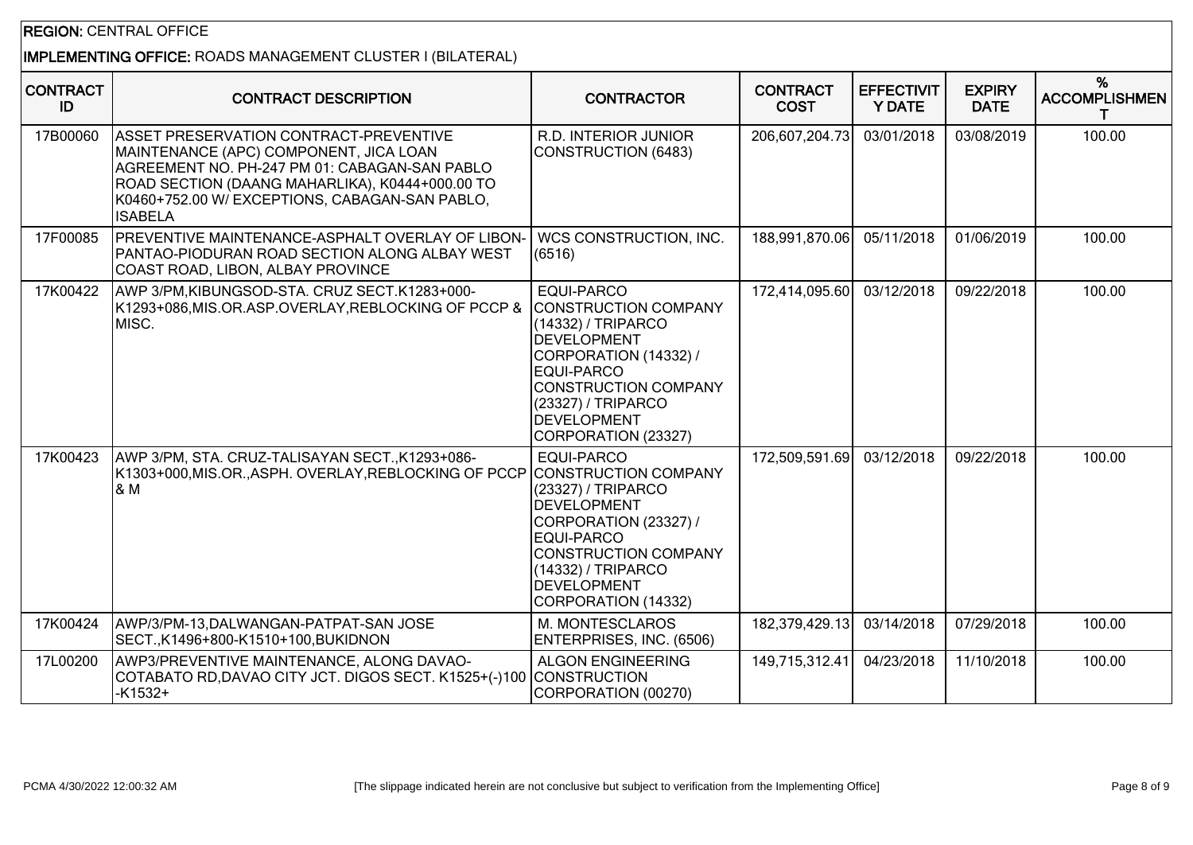## REGION: CENTRAL OFFICE

# IMPLEMENTING OFFICE: ROADS MANAGEMENT CLUSTER I (BILATERAL)

| <b>CONTRACT</b><br>ID | <b>CONTRACT DESCRIPTION</b>                                                                                                                                                                                                                                     | <b>CONTRACTOR</b>                                                                                                                                                                                                                     | <b>CONTRACT</b><br><b>COST</b> | <b>EFFECTIVIT</b><br><b>Y DATE</b> | <b>EXPIRY</b><br><b>DATE</b> | %<br><b>ACCOMPLISHMEN</b><br>т |
|-----------------------|-----------------------------------------------------------------------------------------------------------------------------------------------------------------------------------------------------------------------------------------------------------------|---------------------------------------------------------------------------------------------------------------------------------------------------------------------------------------------------------------------------------------|--------------------------------|------------------------------------|------------------------------|--------------------------------|
| 17B00060              | <b>ASSET PRESERVATION CONTRACT-PREVENTIVE</b><br>MAINTENANCE (APC) COMPONENT, JICA LOAN<br>AGREEMENT NO. PH-247 PM 01: CABAGAN-SAN PABLO<br>ROAD SECTION (DAANG MAHARLIKA), K0444+000.00 TO<br>K0460+752.00 W/ EXCEPTIONS, CABAGAN-SAN PABLO,<br><b>ISABELA</b> | R.D. INTERIOR JUNIOR<br><b>CONSTRUCTION (6483)</b>                                                                                                                                                                                    | 206,607,204.73                 | 03/01/2018                         | 03/08/2019                   | 100.00                         |
| 17F00085              | <b>IPREVENTIVE MAINTENANCE-ASPHALT OVERLAY OF LIBON-</b><br>PANTAO-PIODURAN ROAD SECTION ALONG ALBAY WEST<br>COAST ROAD, LIBON, ALBAY PROVINCE                                                                                                                  | <b>WCS CONSTRUCTION, INC.</b><br>(6516)                                                                                                                                                                                               | 188,991,870.06                 | 05/11/2018                         | 01/06/2019                   | 100.00                         |
| 17K00422              | AWP 3/PM, KIBUNGSOD-STA. CRUZ SECT.K1283+000-<br>K1293+086,MIS.OR.ASP.OVERLAY,REBLOCKING OF PCCP &<br>MISC.                                                                                                                                                     | <b>EQUI-PARCO</b><br><b>CONSTRUCTION COMPANY</b><br>(14332) / TRIPARCO<br><b>DEVELOPMENT</b><br>CORPORATION (14332) /<br>EQUI-PARCO<br><b>CONSTRUCTION COMPANY</b><br>(23327) / TRIPARCO<br><b>DEVELOPMENT</b><br>CORPORATION (23327) | 172,414,095.60                 | 03/12/2018                         | 09/22/2018                   | 100.00                         |
| 17K00423              | AWP 3/PM, STA. CRUZ-TALISAYAN SECT., K1293+086-<br>K1303+000,MIS.OR.,ASPH. OVERLAY,REBLOCKING OF PCCP<br>1& M                                                                                                                                                   | EQUI-PARCO<br><b>CONSTRUCTION COMPANY</b><br>(23327) / TRIPARCO<br><b>DEVELOPMENT</b><br>CORPORATION (23327) /<br>EQUI-PARCO<br><b>CONSTRUCTION COMPANY</b><br>(14332) / TRIPARCO<br><b>DEVELOPMENT</b><br>CORPORATION (14332)        | 172,509,591.69                 | 03/12/2018                         | 09/22/2018                   | 100.00                         |
| 17K00424              | AWP/3/PM-13, DALWANGAN-PATPAT-SAN JOSE<br>SECT., K1496+800-K1510+100, BUKIDNON                                                                                                                                                                                  | M. MONTESCLAROS<br>ENTERPRISES, INC. (6506)                                                                                                                                                                                           | 182,379,429.13                 | 03/14/2018                         | 07/29/2018                   | 100.00                         |
| 17L00200              | AWP3/PREVENTIVE MAINTENANCE, ALONG DAVAO-<br>COTABATO RD,DAVAO CITY JCT. DIGOS SECT. K1525+(-)100<br>$-K1532+$                                                                                                                                                  | <b>ALGON ENGINEERING</b><br><b>CONSTRUCTION</b><br>CORPORATION (00270)                                                                                                                                                                | 149,715,312.41                 | 04/23/2018                         | 11/10/2018                   | 100.00                         |